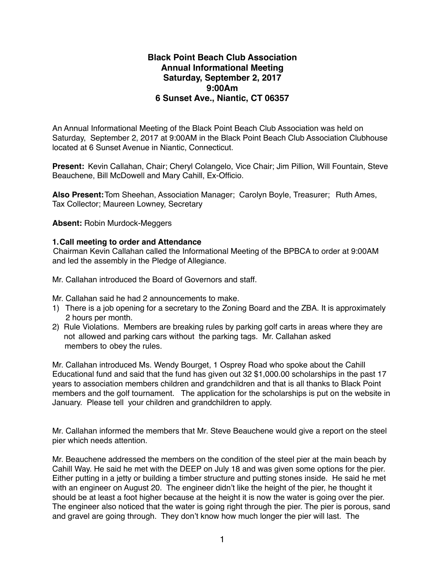## **Black Point Beach Club Association Annual Informational Meeting Saturday, September 2, 2017 9:00Am 6 Sunset Ave., Niantic, CT 06357**

An Annual Informational Meeting of the Black Point Beach Club Association was held on Saturday, September 2, 2017 at 9:00AM in the Black Point Beach Club Association Clubhouse located at 6 Sunset Avenue in Niantic, Connecticut.

**Present:** Kevin Callahan, Chair; Cheryl Colangelo, Vice Chair; Jim Pillion, Will Fountain, Steve Beauchene, Bill McDowell and Mary Cahill, Ex-Officio.

**Also Present:**Tom Sheehan, Association Manager; Carolyn Boyle, Treasurer; Ruth Ames, Tax Collector; Maureen Lowney, Secretary

**Absent:** Robin Murdock-Meggers

## **1.Call meeting to order and Attendance**

Chairman Kevin Callahan called the Informational Meeting of the BPBCA to order at 9:00AM and led the assembly in the Pledge of Allegiance.

Mr. Callahan introduced the Board of Governors and staff.

Mr. Callahan said he had 2 announcements to make.

- 1) There is a job opening for a secretary to the Zoning Board and the ZBA. It is approximately 2 hours per month.
- 2) Rule Violations. Members are breaking rules by parking golf carts in areas where they are not allowed and parking cars without the parking tags. Mr. Callahan asked members to obey the rules.

Mr. Callahan introduced Ms. Wendy Bourget, 1 Osprey Road who spoke about the Cahill Educational fund and said that the fund has given out 32 \$1,000.00 scholarships in the past 17 years to association members children and grandchildren and that is all thanks to Black Point members and the golf tournament. The application for the scholarships is put on the website in January. Please tell your children and grandchildren to apply.

Mr. Callahan informed the members that Mr. Steve Beauchene would give a report on the steel pier which needs attention.

Mr. Beauchene addressed the members on the condition of the steel pier at the main beach by Cahill Way. He said he met with the DEEP on July 18 and was given some options for the pier. Either putting in a jetty or building a timber structure and putting stones inside. He said he met with an engineer on August 20. The engineer didn't like the height of the pier, he thought it should be at least a foot higher because at the height it is now the water is going over the pier. The engineer also noticed that the water is going right through the pier. The pier is porous, sand and gravel are going through. They don't know how much longer the pier will last. The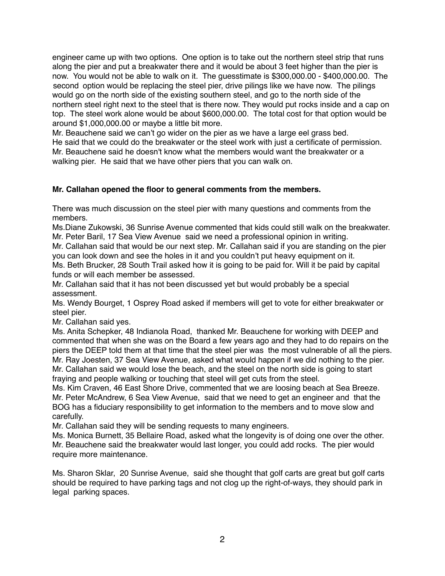engineer came up with two options. One option is to take out the northern steel strip that runs along the pier and put a breakwater there and it would be about 3 feet higher than the pier is now. You would not be able to walk on it. The guesstimate is \$300,000.00 - \$400,000.00. The second option would be replacing the steel pier, drive pilings like we have now. The pilings would go on the north side of the existing southern steel, and go to the north side of the northern steel right next to the steel that is there now. They would put rocks inside and a cap on top. The steel work alone would be about \$600,000.00. The total cost for that option would be around \$1,000,000.00 or maybe a little bit more.

Mr. Beauchene said we can't go wider on the pier as we have a large eel grass bed. He said that we could do the breakwater or the steel work with just a certificate of permission. Mr. Beauchene said he doesn't know what the members would want the breakwater or a walking pier. He said that we have other piers that you can walk on.

## **Mr. Callahan opened the floor to general comments from the members.**

There was much discussion on the steel pier with many questions and comments from the members.

Ms.Diane Zukowski, 36 Sunrise Avenue commented that kids could still walk on the breakwater. Mr. Peter Baril, 17 Sea View Avenue said we need a professional opinion in writing.

Mr. Callahan said that would be our next step. Mr. Callahan said if you are standing on the pier you can look down and see the holes in it and you couldn't put heavy equipment on it.

Ms. Beth Brucker, 28 South Trail asked how it is going to be paid for. Will it be paid by capital funds or will each member be assessed.

Mr. Callahan said that it has not been discussed yet but would probably be a special assessment.

Ms. Wendy Bourget, 1 Osprey Road asked if members will get to vote for either breakwater or steel pier.

Mr. Callahan said yes.

Ms. Anita Schepker, 48 Indianola Road, thanked Mr. Beauchene for working with DEEP and commented that when she was on the Board a few years ago and they had to do repairs on the piers the DEEP told them at that time that the steel pier was the most vulnerable of all the piers. Mr. Ray Joesten, 37 Sea View Avenue, asked what would happen if we did nothing to the pier. Mr. Callahan said we would lose the beach, and the steel on the north side is going to start fraying and people walking or touching that steel will get cuts from the steel.

Ms. Kim Craven, 46 East Shore Drive, commented that we are loosing beach at Sea Breeze. Mr. Peter McAndrew, 6 Sea View Avenue, said that we need to get an engineer and that the BOG has a fiduciary responsibility to get information to the members and to move slow and carefully.

Mr. Callahan said they will be sending requests to many engineers.

Ms. Monica Burnett, 35 Bellaire Road, asked what the longevity is of doing one over the other. Mr. Beauchene said the breakwater would last longer, you could add rocks. The pier would require more maintenance.

Ms. Sharon Sklar, 20 Sunrise Avenue, said she thought that golf carts are great but golf carts should be required to have parking tags and not clog up the right-of-ways, they should park in legal parking spaces.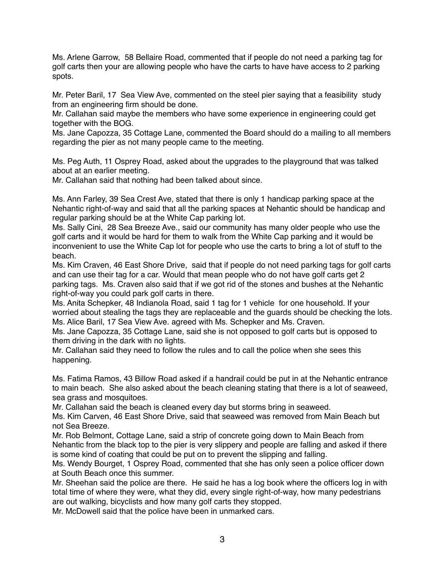Ms. Arlene Garrow, 58 Bellaire Road, commented that if people do not need a parking tag for golf carts then your are allowing people who have the carts to have have access to 2 parking spots.

Mr. Peter Baril, 17 Sea View Ave, commented on the steel pier saying that a feasibility study from an engineering firm should be done.

Mr. Callahan said maybe the members who have some experience in engineering could get together with the BOG.

Ms. Jane Capozza, 35 Cottage Lane, commented the Board should do a mailing to all members regarding the pier as not many people came to the meeting.

Ms. Peg Auth, 11 Osprey Road, asked about the upgrades to the playground that was talked about at an earlier meeting.

Mr. Callahan said that nothing had been talked about since.

Ms. Ann Farley, 39 Sea Crest Ave, stated that there is only 1 handicap parking space at the Nehantic right-of-way and said that all the parking spaces at Nehantic should be handicap and regular parking should be at the White Cap parking lot.

Ms. Sally Cini, 28 Sea Breeze Ave., said our community has many older people who use the golf carts and it would be hard for them to walk from the White Cap parking and it would be inconvenient to use the White Cap lot for people who use the carts to bring a lot of stuff to the beach.

Ms. Kim Craven, 46 East Shore Drive, said that if people do not need parking tags for golf carts and can use their tag for a car. Would that mean people who do not have golf carts get 2 parking tags. Ms. Craven also said that if we got rid of the stones and bushes at the Nehantic right-of-way you could park golf carts in there.

Ms. Anita Schepker, 48 Indianola Road, said 1 tag for 1 vehicle for one household. If your worried about stealing the tags they are replaceable and the guards should be checking the lots. Ms. Alice Baril, 17 Sea View Ave. agreed with Ms. Schepker and Ms. Craven.

Ms. Jane Capozza, 35 Cottage Lane, said she is not opposed to golf carts but is opposed to them driving in the dark with no lights.

Mr. Callahan said they need to follow the rules and to call the police when she sees this happening.

Ms. Fatima Ramos, 43 Billow Road asked if a handrail could be put in at the Nehantic entrance to main beach. She also asked about the beach cleaning stating that there is a lot of seaweed, sea grass and mosquitoes.

Mr. Callahan said the beach is cleaned every day but storms bring in seaweed.

Ms. Kim Carven, 46 East Shore Drive, said that seaweed was removed from Main Beach but not Sea Breeze.

Mr. Rob Belmont, Cottage Lane, said a strip of concrete going down to Main Beach from Nehantic from the black top to the pier is very slippery and people are falling and asked if there is some kind of coating that could be put on to prevent the slipping and falling.

Ms. Wendy Bourget, 1 Osprey Road, commented that she has only seen a police officer down at South Beach once this summer.

Mr. Sheehan said the police are there. He said he has a log book where the officers log in with total time of where they were, what they did, every single right-of-way, how many pedestrians are out walking, bicyclists and how many golf carts they stopped.

Mr. McDowell said that the police have been in unmarked cars.